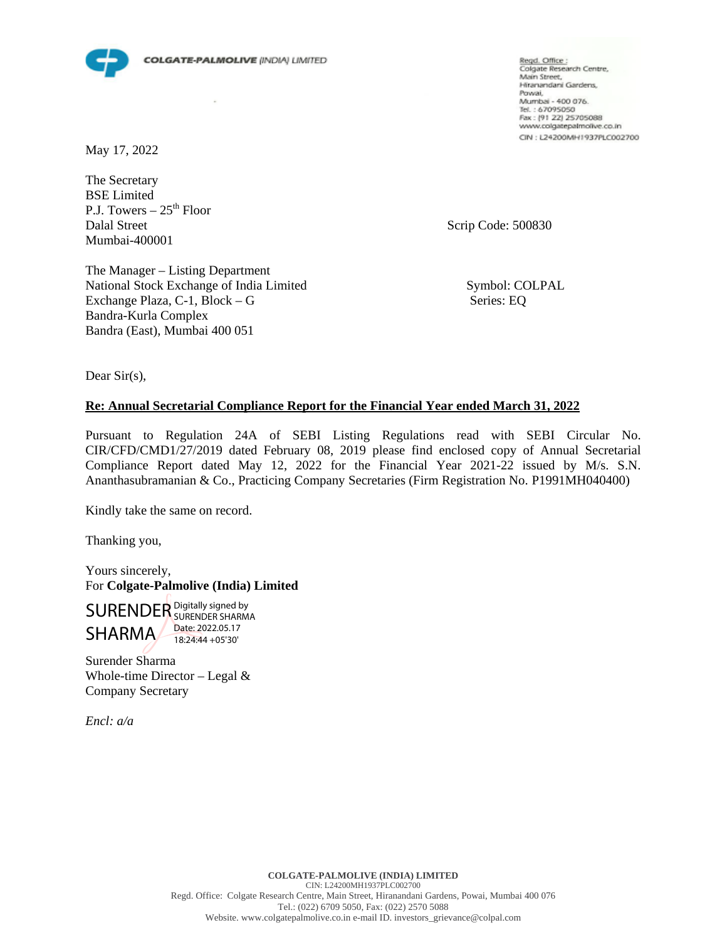

May 17, 2022

The Secretary BSE Limited P.J. Towers  $-25<sup>th</sup>$  Floor Dalal Street Scrip Code: 500830 Mumbai-400001

Regd. Office :<br>Colgate Research Centre, Main Street, Hiranandani Gardens, Powai, Mumbai - 400 076. Tel.: 67095050 Fax: (91 22) 25705088 www.colgatepalmolive.co.in CIN : L24200MH1937PLC002700

The Manager – Listing Department National Stock Exchange of India Limited Symbol: COLPAL Exchange Plaza, C-1, Block – G Series: EQ Bandra-Kurla Complex Bandra (East), Mumbai 400 051

Dear Sir(s),

#### **Re: Annual Secretarial Compliance Report for the Financial Year ended March 31, 2022**

Pursuant to Regulation 24A of SEBI Listing Regulations read with SEBI Circular No. CIR/CFD/CMD1/27/2019 dated February 08, 2019 please find enclosed copy of Annual Secretarial Compliance Report dated May 12, 2022 for the Financial Year 2021-22 issued by M/s. S.N. Ananthasubramanian & Co., Practicing Company Secretaries (Firm Registration No. P1991MH040400)

Kindly take the same on record.

Thanking you,

Yours sincerely, For **Colgate-Palmolive (India) Limited**

SURENDER Digitally signed by SHARMA SURENDER SHARMA Date: 2022.05.17 18:24:44 +05'30'

Surender Sharma Whole-time Director – Legal  $&$ Company Secretary

*Encl: a/a*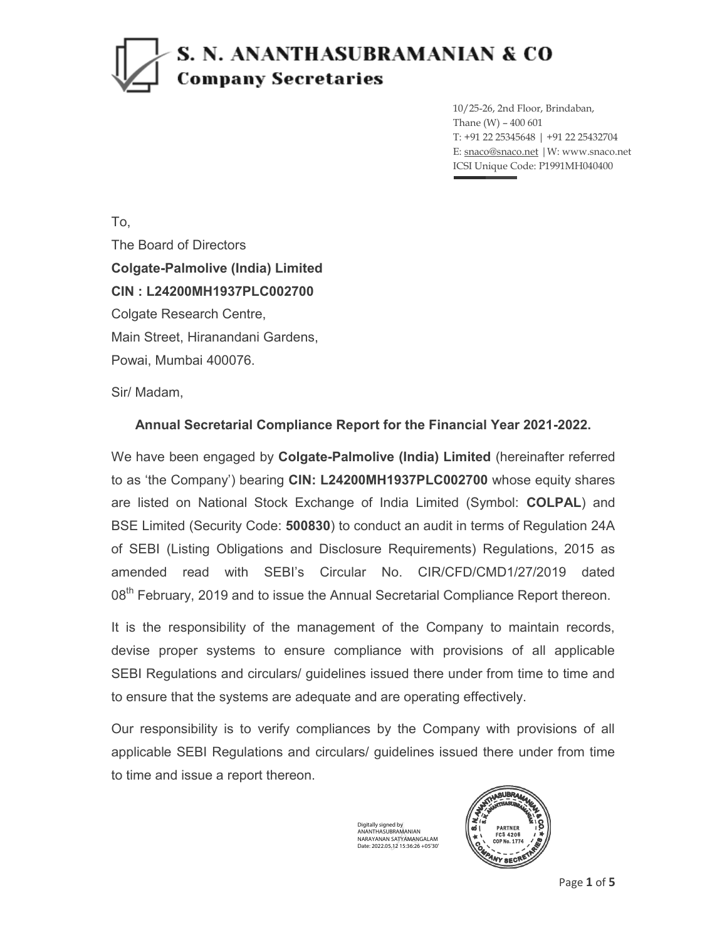10/25-26, 2nd Floor, Brindaban, Thane (W) – 400 601 T: +91 22 25345648 | +91 22 25432704 E: snaco@snaco.net |W: www.snaco.net ICSI Unique Code: P1991MH040400

To, The Board of Directors **Colgate-Palmolive (India) Limited CIN : L24200MH1937PLC002700**  Colgate Research Centre, Main Street, Hiranandani Gardens, Powai, Mumbai 400076.

Sir/ Madam,

#### **Annual Secretarial Compliance Report for the Financial Year 2021-2022.**

We have been engaged by **Colgate-Palmolive (India) Limited** (hereinafter referred to as 'the Company') bearing **CIN: L24200MH1937PLC002700** whose equity shares are listed on National Stock Exchange of India Limited (Symbol: **COLPAL**) and BSE Limited (Security Code: **500830**) to conduct an audit in terms of Regulation 24A of SEBI (Listing Obligations and Disclosure Requirements) Regulations, 2015 as amended read with SEBI's Circular No. CIR/CFD/CMD1/27/2019 dated 08<sup>th</sup> February, 2019 and to issue the Annual Secretarial Compliance Report thereon.

It is the responsibility of the management of the Company to maintain records, devise proper systems to ensure compliance with provisions of all applicable SEBI Regulations and circulars/ guidelines issued there under from time to time and to ensure that the systems are adequate and are operating effectively.

Our responsibility is to verify compliances by the Company with provisions of all applicable SEBI Regulations and circulars/ guidelines issued there under from time to time and issue a report thereon.

> Digitally signed by ANANTHASUBRAMANIAN NARAYANAN SATYAMANGALAM Date: 2022.05.12 15:36:26 +05'30'

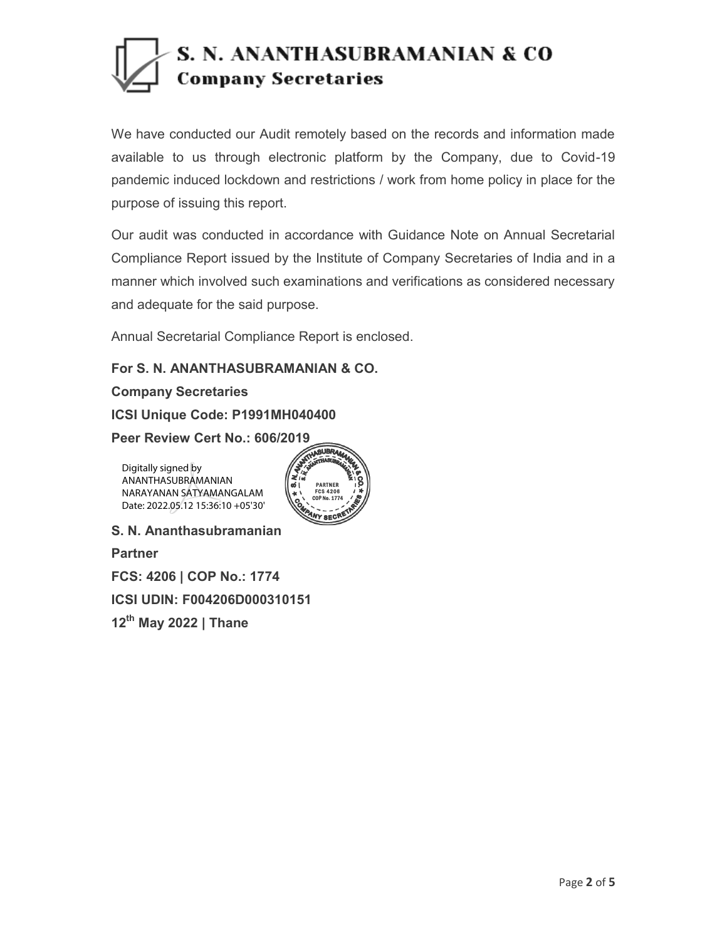We have conducted our Audit remotely based on the records and information made available to us through electronic platform by the Company, due to Covid-19 pandemic induced lockdown and restrictions / work from home policy in place for the purpose of issuing this report.

Our audit was conducted in accordance with Guidance Note on Annual Secretarial Compliance Report issued by the Institute of Company Secretaries of India and in a manner which involved such examinations and verifications as considered necessary and adequate for the said purpose.

Annual Secretarial Compliance Report is enclosed.

**For S. N. ANANTHASUBRAMANIAN & CO.**

**Company Secretaries**

**ICSI Unique Code: P1991MH040400** 

**Peer Review Cert No.: 606/2019 2019**

Digitally signed by ANANTHASUBRAMANIAN NARAYANAN SATYAMANGALAM Date: 2022.05.12 15:36:10 +05'30'



**S. N. Ananthasubramanian** 

**Partner** 

**FCS: 4206 | COP No.: 1774** 

**ICSI UDIN: F004206D000310151** 

**12th May 2022 | Thane**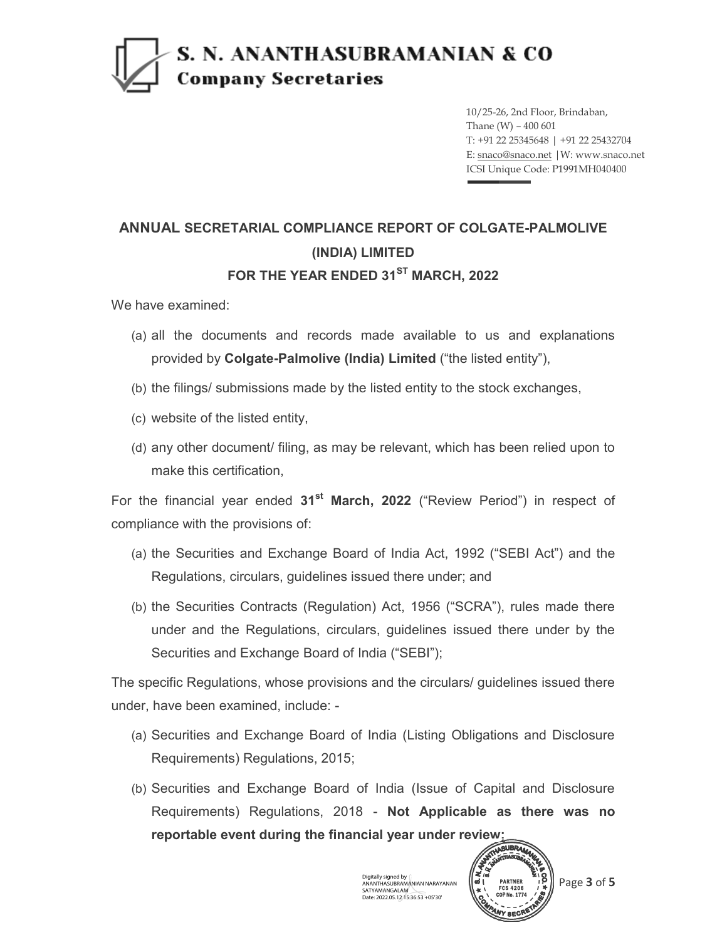10/25-26, 2nd Floor, Brindaban, Thane (W) – 400 601 T: +91 22 25345648 | +91 22 25432704 E: snaco@snaco.net |W: www.snaco.net ICSI Unique Code: P1991MH040400

#### **ANNUAL SECRETARIAL COMPLIANCE REPORT OF COLGATE-PALMOLIVE (INDIA) LIMITED FOR THE YEAR ENDED 31ST MARCH, 2022**

We have examined:

- (a) all the documents and records made available to us and explanations provided by **Colgate-Palmolive (India) Limited** ("the listed entity"),
- (b) the filings/ submissions made by the listed entity to the stock exchanges,
- (c) website of the listed entity,
- (d) any other document/ filing, as may be relevant, which has been relied upon to make this certification,

For the financial year ended **31st March, 2022** ("Review Period") in respect of compliance with the provisions of:

- (a) the Securities and Exchange Board of India Act, 1992 ("SEBI Act") and the Regulations, circulars, guidelines issued there under; and
- (b) the Securities Contracts (Regulation) Act, 1956 ("SCRA"), rules made there under and the Regulations, circulars, guidelines issued there under by the Securities and Exchange Board of India ("SEBI");

The specific Regulations, whose provisions and the circulars/ guidelines issued there under, have been examined, include: -

- (a) Securities and Exchange Board of India (Listing Obligations and Disclosure Requirements) Regulations, 2015;
- (b) Securities and Exchange Board of India (Issue of Capital and Disclosure Requirements) Regulations, 2018 - **Not Applicable as there was no reportable event during the financial year under review;**

Digitally signed by ANANTHASUBRAMANIAN NARAYANAN SATYAMANGALAM Date: 2022.05.12 15:36:53 +05'30'



Page **3** of **5**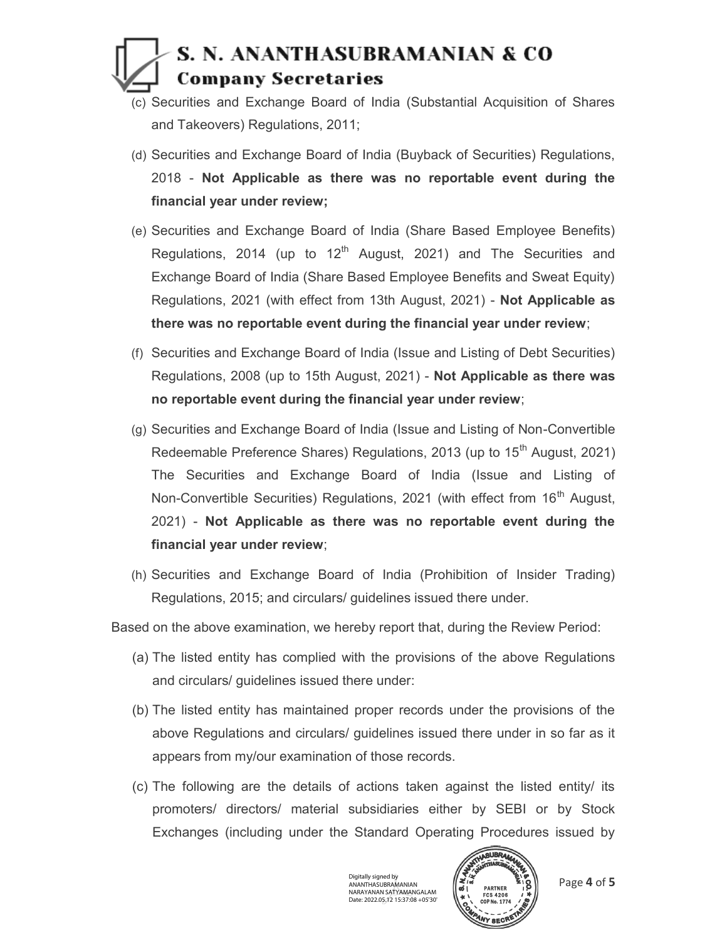- (c) Securities and Exchange Board of India (Substantial Acquisition of Shares and Takeovers) Regulations, 2011;
- (d) Securities and Exchange Board of India (Buyback of Securities) Regulations, 2018 - **Not Applicable as there was no reportable event during the financial year under review;**
- (e) Securities and Exchange Board of India (Share Based Employee Benefits) Regulations, 2014 (up to 12<sup>th</sup> August, 2021) and The Securities and Exchange Board of India (Share Based Employee Benefits and Sweat Equity) Regulations, 2021 (with effect from 13th August, 2021) - **Not Applicable as there was no reportable event during the financial year under review**;
- (f) Securities and Exchange Board of India (Issue and Listing of Debt Securities) Regulations, 2008 (up to 15th August, 2021) - **Not Applicable as there was no reportable event during the financial year under review**;
- (g) Securities and Exchange Board of India (Issue and Listing of Non-Convertible Redeemable Preference Shares) Regulations, 2013 (up to 15<sup>th</sup> August, 2021) The Securities and Exchange Board of India (Issue and Listing of Non-Convertible Securities) Regulations, 2021 (with effect from 16<sup>th</sup> August, 2021) - **Not Applicable as there was no reportable event during the financial year under review**;
- (h) Securities and Exchange Board of India (Prohibition of Insider Trading) Regulations, 2015; and circulars/ guidelines issued there under.

Based on the above examination, we hereby report that, during the Review Period:

- (a) The listed entity has complied with the provisions of the above Regulations and circulars/ guidelines issued there under:
- (b) The listed entity has maintained proper records under the provisions of the above Regulations and circulars/ guidelines issued there under in so far as it appears from my/our examination of those records.
- (c) The following are the details of actions taken against the listed entity/ its promoters/ directors/ material subsidiaries either by SEBI or by Stock Exchanges (including under the Standard Operating Procedures issued by